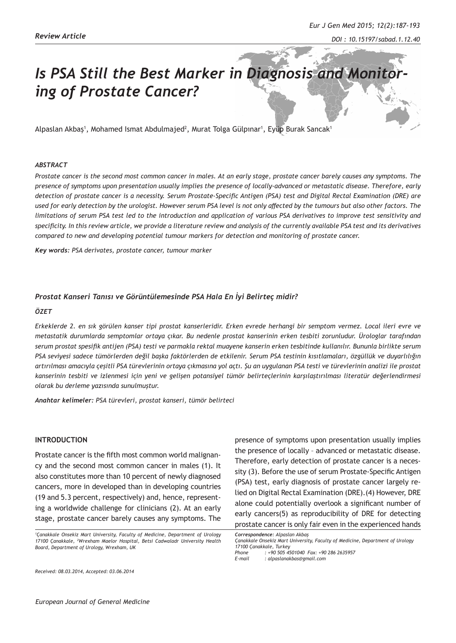# *Is PSA Still the Best Marker in Diagnosis and Monitoring of Prostate Cancer?*

Alpaslan Akbaş<sup>1</sup>, Mohamed Ismat Abdulmajed<sup>2</sup>, Murat Tolga Gülpınar<sup>1</sup>, Eyüp Burak Sancak<sup>1</sup>

### *ABSTRACT*

*Prostate cancer is the second most common cancer in males. At an early stage, prostate cancer barely causes any symptoms. The presence of symptoms upon presentation usually implies the presence of locally-advanced or metastatic disease. Therefore, early detection of prostate cancer is a necessity. Serum Prostate-Specific Antigen (PSA) test and Digital Rectal Examination (DRE) are used for early detection by the urologist. However serum PSA level is not only affected by the tumours but also other factors. The limitations of serum PSA test led to the introduction and application of various PSA derivatives to improve test sensitivity and specificity. In this review article, we provide a literature review and analysis of the currently available PSA test and its derivatives compared to new and developing potential tumour markers for detection and monitoring of prostate cancer.*

*Key words: PSA derivates, prostate cancer, tumour marker*

#### *Prostat Kanseri Tanısı ve Görüntülemesinde PSA Hala En İyi Belirteç midir?*

#### *ÖZET*

*Erkeklerde 2. en sık görülen kanser tipi prostat kanserleridir. Erken evrede herhangi bir semptom vermez. Local ileri evre ve metastatik durumlarda semptomlar ortaya çıkar. Bu nedenle prostat kanserinin erken tesbiti zorunludur. Ürologlar tarafından serum prostat spesifik antijen (PSA) testi ve parmakla rektal muayene kanserin erken tesbitinde kullanılır. Bununla birlikte serum PSA seviyesi sadece tümörlerden değil başka faktörlerden de etkilenir. Serum PSA testinin kısıtlamaları, özgüllük ve duyarlılığın artırılması amacıyla çeşitli PSA türevlerinin ortaya çıkmasına yol açtı. Şu an uygulanan PSA testi ve türevlerinin analizi ile prostat kanserinin tesbiti ve izlenmesi için yeni ve gelişen potansiyel tümör belirteçlerinin karşılaştırılması literatür değerlendirmesi olarak bu derleme yazısında sunulmuştur.*

*Anahtar kelimeler: PSA türevleri, prostat kanseri, tümör belirteci*

### **INTRODUCTION**

Prostate cancer is the fifth most common world malignancy and the second most common cancer in males (1). It also constitutes more than 10 percent of newly diagnosed cancers, more in developed than in developing countries (19 and 5.3 percent, respectively) and, hence, representing a worldwide challenge for clinicians (2). At an early stage, prostate cancer barely causes any symptoms. The

*1 Çanakkale Onsekiz Mart University, Faculty of Medicine, Department of Urology 17100 Çanakkale, <sup>2</sup> Wrexham Maelor Hospital, Betsi Cadwaladr University Health Board, Department of Urology, Wrexham, UK*

presence of symptoms upon presentation usually implies the presence of locally – advanced or metastatic disease. Therefore, early detection of prostate cancer is a necessity (3). Before the use of serum Prostate-Specific Antigen (PSA) test, early diagnosis of prostate cancer largely relied on Digital Rectal Examination (DRE).(4) However, DRE alone could potentially overlook a significant number of early cancers(5) as reproducibility of DRE for detecting prostate cancer is only fair even in the experienced hands

*Correspondence: Alpaslan Akbaş Çanakkale Onsekiz Mart University, Faculty of Medicine, Department of Urology 17100 Çanakkale, Turkey Phone : +90 505 4501040 Fax: +90 286 2635957*

*E-mail : alpaslanakbas@gmail.com*

*Received: 08.03.2014, Accepted: 03.06.2014*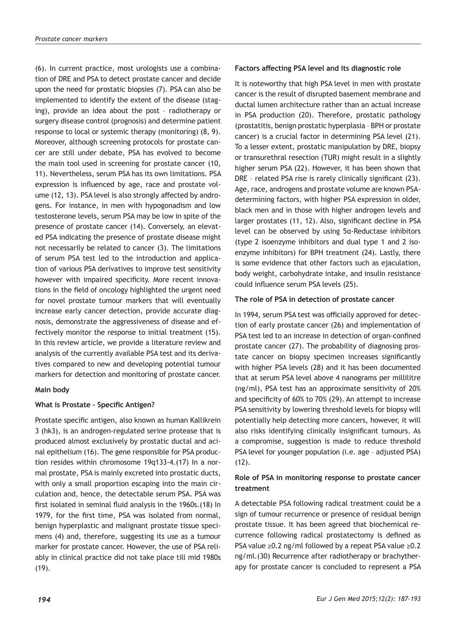(6). In current practice, most urologists use a combination of DRE and PSA to detect prostate cancer and decide upon the need for prostatic biopsies (7). PSA can also be implemented to identify the extent of the disease (staging), provide an idea about the post – radiotherapy or surgery disease control (prognosis) and determine patient response to local or systemic therapy (monitoring) (8, 9). Moreover, although screening protocols for prostate cancer are still under debate, PSA has evolved to become the main tool used in screening for prostate cancer (10, 11). Nevertheless, serum PSA has its own limitations. PSA expression is influenced by age, race and prostate volume (12, 13). PSA level is also strongly affected by androgens. For instance, in men with hypogonadism and low testosterone levels, serum PSA may be low in spite of the presence of prostate cancer (14). Conversely, an elevated PSA indicating the presence of prostate disease might not necessarily be related to cancer (3). The limitations of serum PSA test led to the introduction and application of various PSA derivatives to improve test sensitivity however with impaired specificity. More recent innovations in the field of oncology highlighted the urgent need for novel prostate tumour markers that will eventually increase early cancer detection, provide accurate diagnosis, demonstrate the aggressiveness of disease and effectively monitor the response to initial treatment (15). In this review article, we provide a literature review and analysis of the currently available PSA test and its derivatives compared to new and developing potential tumour markers for detection and monitoring of prostate cancer.

## **Main body**

# **What is Prostate – Specific Antigen?**

Prostate specific antigen, also known as human Kallikrein 3 (hk3), is an androgen-regulated serine protease that is produced almost exclusively by prostatic ductal and acinal epithelium (16). The gene responsible for PSA production resides within chromosome 19q133-4.(17) In a normal prostate, PSA is mainly excreted into prostatic ducts, with only a small proportion escaping into the main circulation and, hence, the detectable serum PSA. PSA was first isolated in seminal fluid analysis in the 1960s.(18) In 1979, for the first time, PSA was isolated from normal, benign hyperplastic and malignant prostate tissue specimens (4) and, therefore, suggesting its use as a tumour marker for prostate cancer. However, the use of PSA reliably in clinical practice did not take place till mid 1980s (19).

# **Factors affecting PSA level and its diagnostic role**

It is noteworthy that high PSA level in men with prostate cancer is the result of disrupted basement membrane and ductal lumen architecture rather than an actual increase in PSA production (20). Therefore, prostatic pathology (prostatitis, benign prostatic hyperplasia – BPH or prostate cancer) is a crucial factor in determining PSA level (21). To a lesser extent, prostatic manipulation by DRE, biopsy or transurethral resection (TUR) might result in a slightly higher serum PSA (22). However, it has been shown that DRE – related PSA rise is rarely clinically significant (23). Age, race, androgens and prostate volume are known PSAdetermining factors, with higher PSA expression in older, black men and in those with higher androgen levels and larger prostates (11, 12). Also, significant decline in PSA level can be observed by using 5α-Reductase inhibitors (type 2 isoenzyme inhibitors and dual type 1 and 2 isoenzyme inhibitors) for BPH treatment (24). Lastly, there is some evidence that other factors such as ejaculation, body weight, carbohydrate intake, and insulin resistance could influence serum PSA levels (25).

## **The role of PSA in detection of prostate cancer**

In 1994, serum PSA test was officially approved for detection of early prostate cancer (26) and implementation of PSA test led to an increase in detection of organ-confined prostate cancer (27). The probability of diagnosing prostate cancer on biopsy specimen increases significantly with higher PSA levels (28) and it has been documented that at serum PSA level above 4 nanograms per millilitre (ng/ml), PSA test has an approximate sensitivity of 20% and specificity of 60% to 70% (29). An attempt to increase PSA sensitivity by lowering threshold levels for biopsy will potentially help detecting more cancers, however, it will also risks identifying clinically insignificant tumours. As a compromise, suggestion is made to reduce threshold PSA level for younger population (i.e. age – adjusted PSA) (12).

# **Role of PSA in monitoring response to prostate cancer treatment**

A detectable PSA following radical treatment could be a sign of tumour recurrence or presence of residual benign prostate tissue. It has been agreed that biochemical recurrence following radical prostatectomy is defined as PSA value ≥0.2 ng/ml followed by a repeat PSA value ≥0.2 ng/ml.(30) Recurrence after radiotherapy or brachytherapy for prostate cancer is concluded to represent a PSA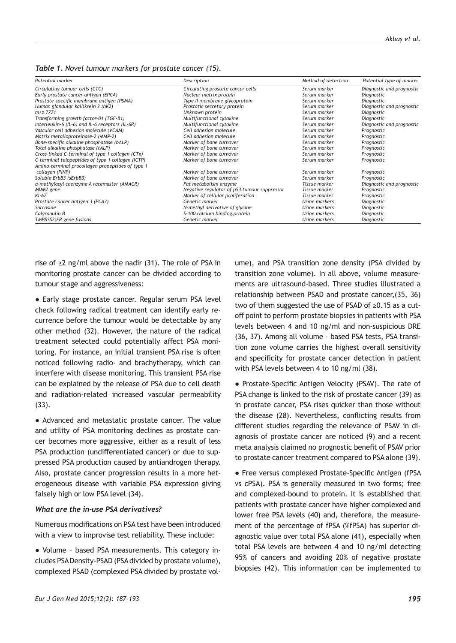*Table 1. Novel tumour markers for prostate cancer (15).*

| Potential marker                                  | Description                                 | Method of detection | Potential type of marker  |
|---------------------------------------------------|---------------------------------------------|---------------------|---------------------------|
| Circulating tumour cells (CTC)                    | Circulating prostate cancer cells           | Serum marker        | Diagnostic and prognostic |
| Early prostate cancer antigen (EPCA)              | Nuclear matrix protein                      | Serum marker        | Diagnostic                |
| Prostate-specific membrane antigen (PSMA)         | Type II membrane glycoprotein               | Serum marker        | Diagnostic                |
| Human glandular kallikrein 2 (hK2)                | Prostatic secretary protein                 | Serum marker        | Diagnostic and prognostic |
| $m/z$ 7771                                        | Unknown protein                             | Serum marker        | Diagnostic                |
| Transforming growth factor-B1 (TGF-B1)            | Multifunctional cytokine                    | Serum marker        | Diagnostic                |
| Interleukin-6 (IL-6) and IL-6 receptors (IL-6R)   | Multifunctional cytokine                    | Serum marker        | Diagnostic and prognostic |
| Vascular cell adhesion molecule (VCAM)            | Cell adhesion molecule                      | Serum marker        | Prognostic                |
| Matrix metalloproteinase-2 (MMP-2)                | Cell adhesion molecule                      | Serum marker        | Prognostic                |
| Bone-specific alkaline phosphatase (bALP)         | Marker of bone turnover                     | Serum marker        | Prognostic                |
| Total alkaline phosphatase (tALP)                 | Marker of bone turnover                     | Serum marker        | Prognostic                |
| Cross-linked C-terminal of type 1 collagen (CTx)  | Marker of bone turnover                     | Serum marker        | Prognostic                |
| C-terminal telopeptides of type 1 collagen (ICTP) | Marker of bone turnover                     | Serum marker        | Prognostic                |
| Amino-terminal procollagen propeptides of type 1  |                                             |                     |                           |
| collagen (PINP)                                   | Marker of bone turnover                     | Serum marker        | Prognostic                |
| Soluble ErbB3 (sErbB3)                            | Marker of bone turnover                     | Serum marker        | Prognostic                |
| a-methylacyl coenzyme A racemaster (AMACR)        | Fat metabolism enzyme                       | Tissue marker       | Diagnostic and prognostic |
| MDM2 gene                                         | Negative regulator of p53 tumour suppressor | Tissue marker       | Prognostic                |
| $Ki-67$                                           | Marker of cellular proliferation            | Tissue marker       | Prognostic                |
| Prostate cancer antigen 3 (PCA3)                  | Genetic marker                              | Urine markers       | Diagnostic                |
| Sarcosine                                         | N-methyl derivative of glycine              | Urine markers       | Diagnostic                |
| Calgranulin B                                     | S-100 calcium binding protein               | Urine markers       | Diagnostic                |
| TMPRSS2:ER gene fusions                           | Genetic marker                              | Urine markers       | Diagnostic                |

rise of ≥2 ng/ml above the nadir (31). The role of PSA in monitoring prostate cancer can be divided according to tumour stage and aggressiveness:

• Early stage prostate cancer. Regular serum PSA level check following radical treatment can identify early recurrence before the tumour would be detectable by any other method (32). However, the nature of the radical treatment selected could potentially affect PSA monitoring. For instance, an initial transient PSA rise is often noticed following radio- and brachytherapy, which can interfere with disease monitoring. This transient PSA rise can be explained by the release of PSA due to cell death and radiation-related increased vascular permeability (33).

● Advanced and metastatic prostate cancer. The value and utility of PSA monitoring declines as prostate cancer becomes more aggressive, either as a result of less PSA production (undifferentiated cancer) or due to suppressed PSA production caused by antiandrogen therapy. Also, prostate cancer progression results in a more heterogeneous disease with variable PSA expression giving falsely high or low PSA level (34).

#### *What are the in-use PSA derivatives?*

Numerous modifications on PSA test have been introduced with a view to improvise test reliability. These include:

● Volume – based PSA measurements. This category includes PSA Density-PSAD (PSA divided by prostate volume), complexed PSAD (complexed PSA divided by prostate vol-

ume), and PSA transition zone density (PSA divided by transition zone volume). In all above, volume measurements are ultrasound-based. Three studies illustrated a relationship between PSAD and prostate cancer,(35, 36) two of them suggested the use of PSAD of ≥0.15 as a cutoff point to perform prostate biopsies in patients with PSA levels between 4 and 10 ng/ml and non-suspicious DRE (36, 37). Among all volume – based PSA tests, PSA transition zone volume carries the highest overall sensitivity and specificity for prostate cancer detection in patient with PSA levels between 4 to 10 ng/ml (38).

● Prostate-Specific Antigen Velocity (PSAV). The rate of PSA change is linked to the risk of prostate cancer (39) as in prostate cancer, PSA rises quicker than those without the disease (28). Nevertheless, conflicting results from different studies regarding the relevance of PSAV in diagnosis of prostate cancer are noticed (9) and a recent meta analysis claimed no prognostic benefit of PSAV prior to prostate cancer treatment compared to PSA alone (39).

● Free versus complexed Prostate-Specific Antigen (fPSA vs cPSA). PSA is generally measured in two forms; free and complexed-bound to protein. It is established that patients with prostate cancer have higher complexed and lower free PSA levels (40) and, therefore, the measurement of the percentage of fPSA (%fPSA) has superior diagnostic value over total PSA alone (41), especially when total PSA levels are between 4 and 10 ng/ml detecting 95% of cancers and avoiding 20% of negative prostate biopsies (42). This information can be implemented to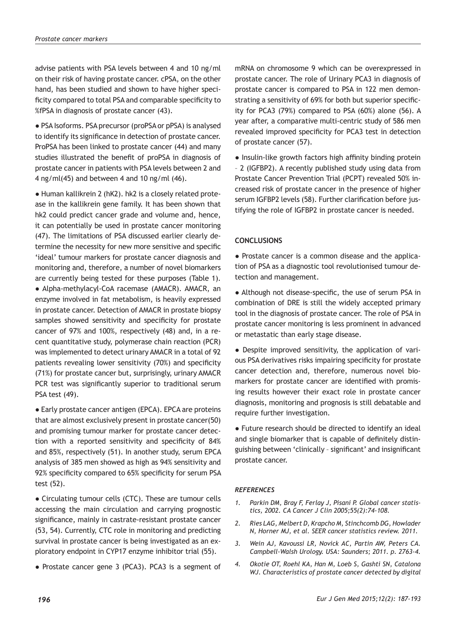advise patients with PSA levels between 4 and 10 ng/ml on their risk of having prostate cancer. cPSA, on the other hand, has been studied and shown to have higher specificity compared to total PSA and comparable specificity to %fPSA in diagnosis of prostate cancer (43).

● PSA Isoforms. PSA precursor (proPSA or pPSA) is analysed to identify its significance in detection of prostate cancer. ProPSA has been linked to prostate cancer (44) and many studies illustrated the benefit of proPSA in diagnosis of prostate cancer in patients with PSA levels between 2 and 4 ng/ml(45) and between 4 and 10 ng/ml (46).

● Human kallikrein 2 (hK2). hk2 is a closely related protease in the kallikrein gene family. It has been shown that hk2 could predict cancer grade and volume and, hence, it can potentially be used in prostate cancer monitoring (47). The limitations of PSA discussed earlier clearly determine the necessity for new more sensitive and specific 'ideal' tumour markers for prostate cancer diagnosis and monitoring and, therefore, a number of novel biomarkers are currently being tested for these purposes (Table 1). ● Alpha-methylacyl-CoA racemase (AMACR). AMACR, an enzyme involved in fat metabolism, is heavily expressed in prostate cancer. Detection of AMACR in prostate biopsy samples showed sensitivity and specificity for prostate cancer of 97% and 100%, respectively (48) and, in a recent quantitative study, polymerase chain reaction (PCR) was implemented to detect urinary AMACR in a total of 92 patients revealing lower sensitivity (70%) and specificity (71%) for prostate cancer but, surprisingly, urinary AMACR PCR test was significantly superior to traditional serum PSA test (49).

● Early prostate cancer antigen (EPCA). EPCA are proteins that are almost exclusively present in prostate cancer(50) and promising tumour marker for prostate cancer detection with a reported sensitivity and specificity of 84% and 85%, respectively (51). In another study, serum EPCA analysis of 385 men showed as high as 94% sensitivity and 92% specificity compared to 65% specificity for serum PSA test (52).

• Circulating tumour cells (CTC). These are tumour cells accessing the main circulation and carrying prognostic significance, mainly in castrate-resistant prostate cancer (53, 54). Currently, CTC role in monitoring and predicting survival in prostate cancer is being investigated as an exploratory endpoint in CYP17 enzyme inhibitor trial (55).

● Prostate cancer gene 3 (PCA3). PCA3 is a segment of

mRNA on chromosome 9 which can be overexpressed in prostate cancer. The role of Urinary PCA3 in diagnosis of prostate cancer is compared to PSA in 122 men demonstrating a sensitivity of 69% for both but superior specificity for PCA3 (79%) compared to PSA (60%) alone (56). A year after, a comparative multi-centric study of 586 men revealed improved specificity for PCA3 test in detection of prostate cancer (57).

• Insulin-like growth factors high affinity binding protein – 2 (IGFBP2). A recently published study using data from Prostate Cancer Prevention Trial (PCPT) revealed 50% increased risk of prostate cancer in the presence of higher serum IGFBP2 levels (58). Further clarification before justifying the role of IGFBP2 in prostate cancer is needed.

## **CONCLUSIONS**

*●* Prostate cancer is a common disease and the application of PSA as a diagnostic tool revolutionised tumour detection and management.

● Although not disease-specific, the use of serum PSA in combination of DRE is still the widely accepted primary tool in the diagnosis of prostate cancer. The role of PSA in prostate cancer monitoring is less prominent in advanced or metastatic than early stage disease.

● Despite improved sensitivity, the application of various PSA derivatives risks impairing specificity for prostate cancer detection and, therefore, numerous novel biomarkers for prostate cancer are identified with promising results however their exact role in prostate cancer diagnosis, monitoring and prognosis is still debatable and require further investigation.

● Future research should be directed to identify an ideal and single biomarker that is capable of definitely distinguishing between 'clinically – significant' and insignificant prostate cancer.

#### *REFERENCES*

- *1. Parkin DM, Bray F, Ferlay J, Pisani P. Global cancer statistics, 2002. CA Cancer J Clin 2005;55(2):74-108.*
- *2. Ries LAG, Melbert D, Krapcho M, Stinchcomb DG, Howlader N, Horner MJ, et al. SEER cancer statistics review. 2011.*
- *3. Wein AJ, Kavoussi LR, Novick AC, Partin AW, Peters CA. Campbell-Walsh Urology. USA: Saunders; 2011. p. 2763-4.*
- *4. Okotie OT, Roehl KA, Han M, Loeb S, Gashti SN, Catalona WJ. Characteristics of prostate cancer detected by digital*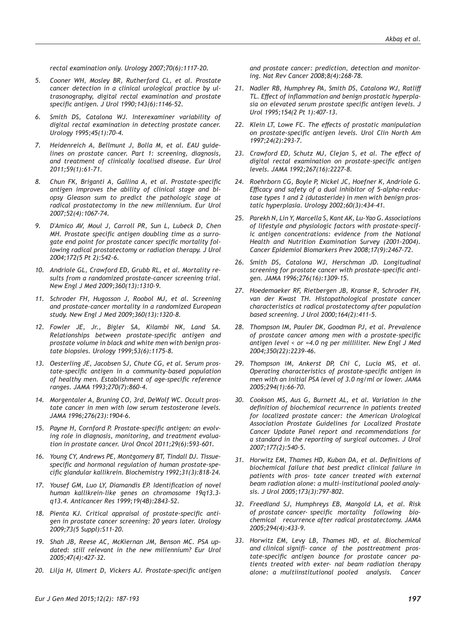*rectal examination only. Urology 2007;70(6):1117-20.* 

- *5. Cooner WH, Mosley BR, Rutherford CL, et al. Prostate cancer detection in a clinical urological practice by ultrasonography, digital rectal examination and prostate specific antigen. J Urol 1990;143(6):1146-52.*
- *6. Smith DS, Catalona WJ. Interexaminer variability of digital rectal examination in detecting prostate cancer. Urology 1995;45(1):70-4.*
- *7. Heidenreich A, Bellmunt J, Bolla M, et al. EAU guidelines on prostate cancer. Part 1: screening, diagnosis, and treatment of clinically localised disease. Eur Urol 2011;59(1):61-71.*
- *8. Chun FK, Briganti A, Gallina A, et al. Prostate-specific antigen improves the ability of clinical stage and biopsy Gleason sum to predict the pathologic stage at radical prostatectomy in the new millennium. Eur Urol 2007;52(4):1067-74.*
- *9. D'Amico AV, Moul J, Carroll PR, Sun L, Lubeck D, Chen MH. Prostate specific antigen doubling time as a surrogate end point for prostate cancer specific mortality following radical prostatectomy or radiation therapy. J Urol 2004;172(5 Pt 2):S42-6.*
- *10. Andriole GL, Crawford ED, Grubb RL, et al. Mortality results from a randomized prostate-cancer screening trial. New Engl J Med 2009;360(13):1310-9.*
- *11. Schroder FH, Hugosson J, Roobol MJ, et al. Screening and prostate-cancer mortality in a randomized European study. New Engl J Med 2009;360(13):1320-8.*
- *12. Fowler JE, Jr., Bigler SA, Kilambi NK, Land SA. Relationships between prostate-specific antigen and prostate volume in black and white men with benign prostate biopsies. Urology 1999;53(6):1175-8.*
- *13. Oesterling JE, Jacobsen SJ, Chute CG, et al. Serum prostate-specific antigen in a community-based population of healthy men. Establishment of age-specific reference ranges. JAMA 1993;270(7):860-4.*
- *14. Morgentaler A, Bruning CO, 3rd, DeWolf WC. Occult prostate cancer in men with low serum testosterone levels. JAMA 1996;276(23):1904-6.*
- *15. Payne H, Cornford P. Prostate-specific antigen: an evolving role in diagnosis, monitoring, and treatment evaluation in prostate cancer. Urol Oncol 2011;29(6):593-601.*
- *16. Young CY, Andrews PE, Montgomery BT, Tindall DJ. Tissuespecific and hormonal regulation of human prostate-specific glandular kallikrein. Biochemistry 1992;31(3):818-24.*
- *17. Yousef GM, Luo LY, Diamandis EP. Identification of novel human kallikrein-like genes on chromosome 19q13.3 q13.4. Anticancer Res 1999;19(4B):2843-52.*
- *18. Pienta KJ. Critical appraisal of prostate-specific antigen in prostate cancer screening: 20 years later. Urology 2009;73(5 Suppl):S11-20.*
- *19. Shah JB, Reese AC, McKiernan JM, Benson MC. PSA updated: still relevant in the new millennium? Eur Urol 2005;47(4):427-32.*
- *20. Lilja H, Ulmert D, Vickers AJ. Prostate-specific antigen*

*and prostate cancer: prediction, detection and monitoring. Nat Rev Cancer 2008;8(4):268-78.* 

- *21. Nadler RB, Humphrey PA, Smith DS, Catalona WJ, Ratliff TL. Effect of inflammation and benign prostatic hyperplasia on elevated serum prostate specific antigen levels. J Urol 1995;154(2 Pt 1):407-13.*
- *22. Klein LT, Lowe FC. The effects of prostatic manipulation on prostate-specific antigen levels. Urol Clin North Am 1997;24(2):293-7.*
- *23. Crawford ED, Schutz MJ, Clejan S, et al. The effect of digital rectal examination on prostate-specific antigen levels. JAMA 1992;267(16):2227-8.*
- *24. Roehrborn CG, Boyle P, Nickel JC, Hoefner K, Andriole G. Efficacy and safety of a dual inhibitor of 5-alpha-reductase types 1 and 2 (dutasteride) in men with benign prostatic hyperplasia. Urology 2002;60(3):434-41.*
- *25. Parekh N, Lin Y, Marcella S, Kant AK, Lu-Yao G. Associations of lifestyle and physiologic factors with prostate-specific antigen concentrations: evidence from the National Health and Nutrition Examination Survey (2001-2004). Cancer Epidemiol Biomarkers Prev 2008;17(9):2467-72.*
- *26. Smith DS, Catalona WJ, Herschman JD. Longitudinal screening for prostate cancer with prostate-specific antigen. JAMA 1996;276(16):1309-15.*
- *27. Hoedemaeker RF, Rietbergen JB, Kranse R, Schroder FH, van der Kwast TH. Histopathological prostate cancer characteristics at radical prostatectomy after population based screening. J Urol 2000;164(2):411-5.*
- *28. Thompson IM, Pauler DK, Goodman PJ, et al. Prevalence of prostate cancer among men with a prostate-specific antigen level < or =4.0 ng per milliliter. New Engl J Med 2004;350(22):2239-46.*
- *29. Thompson IM, Ankerst DP, Chi C, Lucia MS, et al. Operating characteristics of prostate-specific antigen in men with an initial PSA level of 3.0 ng/ml or lower. JAMA 2005;294(1):66-70.*
- *30. Cookson MS, Aus G, Burnett AL, et al. Variation in the definition of biochemical recurrence in patients treated for localized prostate cancer: the American Urological Association Prostate Guidelines for Localized Prostate Cancer Update Panel report and recommendations for a standard in the reporting of surgical outcomes. J Urol 2007;177(2):540-5.*
- *31. Horwitz EM, Thames HD, Kuban DA, et al. Definitions of biochemical failure that best predict clinical failure in patients with pros- tate cancer treated with external beam radiation alone: a multi-institutional pooled analysis. J Urol 2005;173(3):797-802.*
- *32. Freedland SJ, Humphreys EB, Mangold LA, et al. Risk of prostate cancer- specific mortality following biochemical recurrence after radical prostatectomy. JAMA 2005;294(4):433-9.*
- *33. Horwitz EM, Levy LB, Thames HD, et al. Biochemical and clinical signifi- cance of the posttreatment prostate-specific antigen bounce for prostate cancer patients treated with exter- nal beam radiation therapy alone: a multiinstitutional pooled analysis. Cancer*